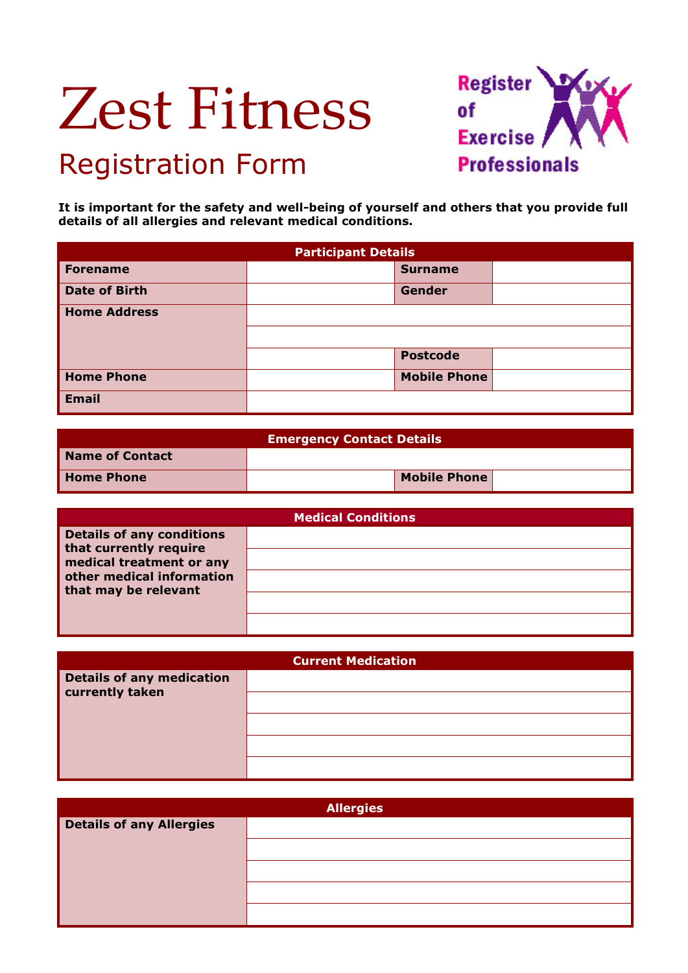## Zest Fitness

## Registration Form



**It is important for the safety and well-being of yourself and others that you provide full details of all allergies and relevant medical conditions.**

| <b>Participant Details</b> |  |                     |  |
|----------------------------|--|---------------------|--|
| <b>Forename</b>            |  | <b>Surname</b>      |  |
| <b>Date of Birth</b>       |  | <b>Gender</b>       |  |
| <b>Home Address</b>        |  |                     |  |
|                            |  |                     |  |
|                            |  | <b>Postcode</b>     |  |
| <b>Home Phone</b>          |  | <b>Mobile Phone</b> |  |
| <b>Email</b>               |  |                     |  |

| <b>Emergency Contact Details</b> |  |              |  |
|----------------------------------|--|--------------|--|
| <b>Name of Contact</b>           |  |              |  |
| <b>Home Phone</b>                |  | Mobile Phone |  |

| <b>Medical Conditions</b>                                                                                                                   |  |  |
|---------------------------------------------------------------------------------------------------------------------------------------------|--|--|
| <b>Details of any conditions</b><br>that currently require<br>medical treatment or any<br>other medical information<br>that may be relevant |  |  |
|                                                                                                                                             |  |  |
|                                                                                                                                             |  |  |
|                                                                                                                                             |  |  |
|                                                                                                                                             |  |  |

| <b>Current Medication</b>                           |  |  |
|-----------------------------------------------------|--|--|
| <b>Details of any medication</b><br>currently taken |  |  |
|                                                     |  |  |
|                                                     |  |  |
|                                                     |  |  |
|                                                     |  |  |

| <b>Allergies</b>                |  |  |
|---------------------------------|--|--|
| <b>Details of any Allergies</b> |  |  |
|                                 |  |  |
|                                 |  |  |
|                                 |  |  |
|                                 |  |  |